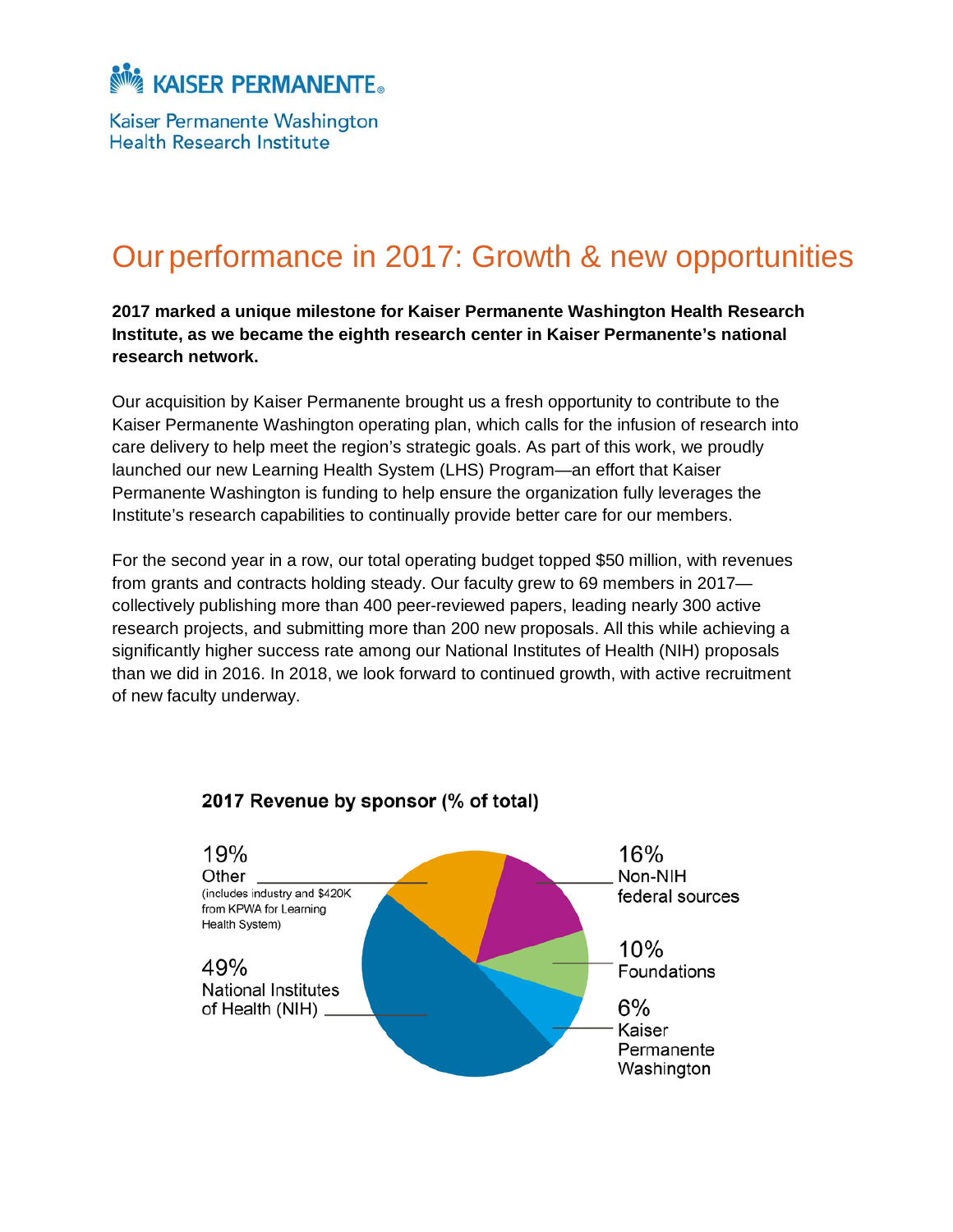

Kaiser Permanente Washington Health Research Institute

# Our performance in 2017: Growth & new opportunities

**2017 marked a unique milestone for Kaiser Permanente Washington Health Research Institute, as we became the eighth research center in Kaiser Permanente's national research network.** 

Our acquisition by Kaiser Permanente brought us a fresh opportunity to contribute to the Kaiser Permanente Washington operating plan, which calls for the infusion of research into care delivery to help meet the region's strategic goals. As part of this work, we proudly launched our new Learning Health System (LHS) Program—an effort that Kaiser Permanente Washington is funding to help ensure the organization fully leverages the Institute's research capabilities to continually provide better care for our members.

For the second year in a row, our total operating budget topped \$50 million, with revenues from grants and contracts holding steady. Our faculty grew to 69 members in 2017 collectively publishing more than 400 peer-reviewed papers, leading nearly 300 active research projects, and submitting more than 200 new proposals. All this while achieving a significantly higher success rate among our National Institutes of Health (NIH) proposals than we did in 2016. In 2018, we look forward to continued growth, with active recruitment of new faculty underway.



### 2017 Revenue by sponsor (% of total)